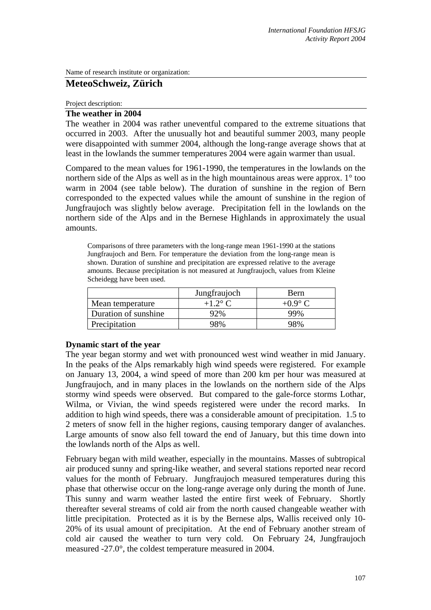Name of research institute or organization:

# **MeteoSchweiz, Zürich**

Project description:

## **The weather in 2004**

The weather in 2004 was rather uneventful compared to the extreme situations that occurred in 2003. After the unusually hot and beautiful summer 2003, many people were disappointed with summer 2004, although the long-range average shows that at least in the lowlands the summer temperatures 2004 were again warmer than usual.

Compared to the mean values for 1961-1990, the temperatures in the lowlands on the northern side of the Alps as well as in the high mountainous areas were approx. 1° too warm in 2004 (see table below). The duration of sunshine in the region of Bern corresponded to the expected values while the amount of sunshine in the region of Jungfraujoch was slightly below average. Precipitation fell in the lowlands on the northern side of the Alps and in the Bernese Highlands in approximately the usual amounts.

Comparisons of three parameters with the long-range mean 1961-1990 at the stations Jungfraujoch and Bern. For temperature the deviation from the long-range mean is shown. Duration of sunshine and precipitation are expressed relative to the average amounts. Because precipitation is not measured at Jungfraujoch, values from Kleine Scheidegg have been used.

|                      | Jungfraujoch | Bern           |
|----------------------|--------------|----------------|
| Mean temperature     | $+1.2$ °C    | $+0.9^\circ C$ |
| Duration of sunshine | 92%          | 99%            |
| Precipitation        | 98%          | 98%            |

## **Dynamic start of the year**

The year began stormy and wet with pronounced west wind weather in mid January. In the peaks of the Alps remarkably high wind speeds were registered. For example on January 13, 2004, a wind speed of more than 200 km per hour was measured at Jungfraujoch, and in many places in the lowlands on the northern side of the Alps stormy wind speeds were observed. But compared to the gale-force storms Lothar, Wilma, or Vivian, the wind speeds registered were under the record marks. In addition to high wind speeds, there was a considerable amount of precipitation. 1.5 to 2 meters of snow fell in the higher regions, causing temporary danger of avalanches. Large amounts of snow also fell toward the end of January, but this time down into the lowlands north of the Alps as well.

February began with mild weather, especially in the mountains. Masses of subtropical air produced sunny and spring-like weather, and several stations reported near record values for the month of February. Jungfraujoch measured temperatures during this phase that otherwise occur on the long-range average only during the month of June. This sunny and warm weather lasted the entire first week of February. Shortly thereafter several streams of cold air from the north caused changeable weather with little precipitation. Protected as it is by the Bernese alps, Wallis received only 10- 20% of its usual amount of precipitation. At the end of February another stream of cold air caused the weather to turn very cold. On February 24, Jungfraujoch measured -27.0°, the coldest temperature measured in 2004.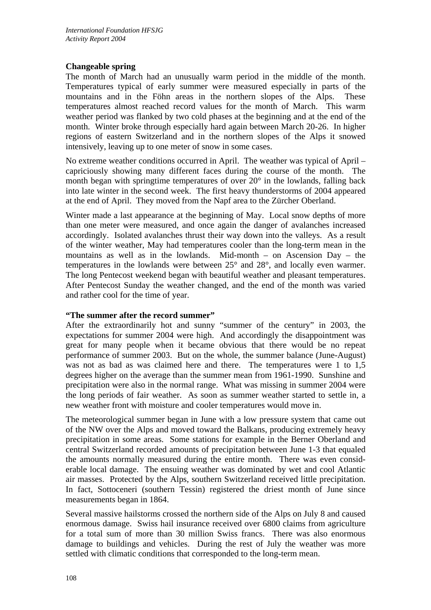# **Changeable spring**

The month of March had an unusually warm period in the middle of the month. Temperatures typical of early summer were measured especially in parts of the mountains and in the Föhn areas in the northern slopes of the Alps. These temperatures almost reached record values for the month of March. This warm weather period was flanked by two cold phases at the beginning and at the end of the month. Winter broke through especially hard again between March 20-26. In higher regions of eastern Switzerland and in the northern slopes of the Alps it snowed intensively, leaving up to one meter of snow in some cases.

No extreme weather conditions occurred in April. The weather was typical of April – capriciously showing many different faces during the course of the month. The month began with springtime temperatures of over 20° in the lowlands, falling back into late winter in the second week. The first heavy thunderstorms of 2004 appeared at the end of April. They moved from the Napf area to the Zürcher Oberland.

Winter made a last appearance at the beginning of May. Local snow depths of more than one meter were measured, and once again the danger of avalanches increased accordingly. Isolated avalanches thrust their way down into the valleys. As a result of the winter weather, May had temperatures cooler than the long-term mean in the mountains as well as in the lowlands. Mid-month – on Ascension Day – the temperatures in the lowlands were between 25° and 28°, and locally even warmer. The long Pentecost weekend began with beautiful weather and pleasant temperatures. After Pentecost Sunday the weather changed, and the end of the month was varied and rather cool for the time of year.

## **"The summer after the record summer"**

After the extraordinarily hot and sunny "summer of the century" in 2003, the expectations for summer 2004 were high. And accordingly the disappointment was great for many people when it became obvious that there would be no repeat performance of summer 2003. But on the whole, the summer balance (June-August) was not as bad as was claimed here and there. The temperatures were 1 to 1,5 degrees higher on the average than the summer mean from 1961-1990. Sunshine and precipitation were also in the normal range. What was missing in summer 2004 were the long periods of fair weather. As soon as summer weather started to settle in, a new weather front with moisture and cooler temperatures would move in.

The meteorological summer began in June with a low pressure system that came out of the NW over the Alps and moved toward the Balkans, producing extremely heavy precipitation in some areas. Some stations for example in the Berner Oberland and central Switzerland recorded amounts of precipitation between June 1-3 that equaled the amounts normally measured during the entire month. There was even considerable local damage. The ensuing weather was dominated by wet and cool Atlantic air masses. Protected by the Alps, southern Switzerland received little precipitation. In fact, Sottoceneri (southern Tessin) registered the driest month of June since measurements began in 1864.

Several massive hailstorms crossed the northern side of the Alps on July 8 and caused enormous damage. Swiss hail insurance received over 6800 claims from agriculture for a total sum of more than 30 million Swiss francs. There was also enormous damage to buildings and vehicles. During the rest of July the weather was more settled with climatic conditions that corresponded to the long-term mean.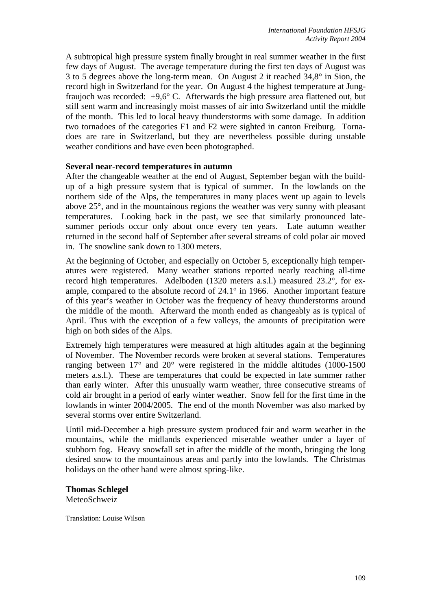A subtropical high pressure system finally brought in real summer weather in the first few days of August. The average temperature during the first ten days of August was 3 to 5 degrees above the long-term mean. On August 2 it reached 34,8° in Sion, the record high in Switzerland for the year. On August 4 the highest temperature at Jungfraujoch was recorded:  $+9.6^{\circ}$  C. Afterwards the high pressure area flattened out, but still sent warm and increasingly moist masses of air into Switzerland until the middle of the month. This led to local heavy thunderstorms with some damage. In addition two tornadoes of the categories F1 and F2 were sighted in canton Freiburg. Tornadoes are rare in Switzerland, but they are nevertheless possible during unstable weather conditions and have even been photographed.

## **Several near-record temperatures in autumn**

After the changeable weather at the end of August, September began with the buildup of a high pressure system that is typical of summer. In the lowlands on the northern side of the Alps, the temperatures in many places went up again to levels above 25°, and in the mountainous regions the weather was very sunny with pleasant temperatures. Looking back in the past, we see that similarly pronounced latesummer periods occur only about once every ten years. Late autumn weather returned in the second half of September after several streams of cold polar air moved in. The snowline sank down to 1300 meters.

At the beginning of October, and especially on October 5, exceptionally high temperatures were registered. Many weather stations reported nearly reaching all-time record high temperatures. Adelboden (1320 meters a.s.l.) measured 23.2°, for example, compared to the absolute record of 24.1° in 1966. Another important feature of this year's weather in October was the frequency of heavy thunderstorms around the middle of the month. Afterward the month ended as changeably as is typical of April. Thus with the exception of a few valleys, the amounts of precipitation were high on both sides of the Alps.

Extremely high temperatures were measured at high altitudes again at the beginning of November. The November records were broken at several stations. Temperatures ranging between 17° and 20° were registered in the middle altitudes (1000-1500 meters a.s.l.). These are temperatures that could be expected in late summer rather than early winter. After this unusually warm weather, three consecutive streams of cold air brought in a period of early winter weather. Snow fell for the first time in the lowlands in winter 2004/2005. The end of the month November was also marked by several storms over entire Switzerland.

Until mid-December a high pressure system produced fair and warm weather in the mountains, while the midlands experienced miserable weather under a layer of stubborn fog. Heavy snowfall set in after the middle of the month, bringing the long desired snow to the mountainous areas and partly into the lowlands. The Christmas holidays on the other hand were almost spring-like.

**Thomas Schlegel**  MeteoSchweiz

Translation: Louise Wilson